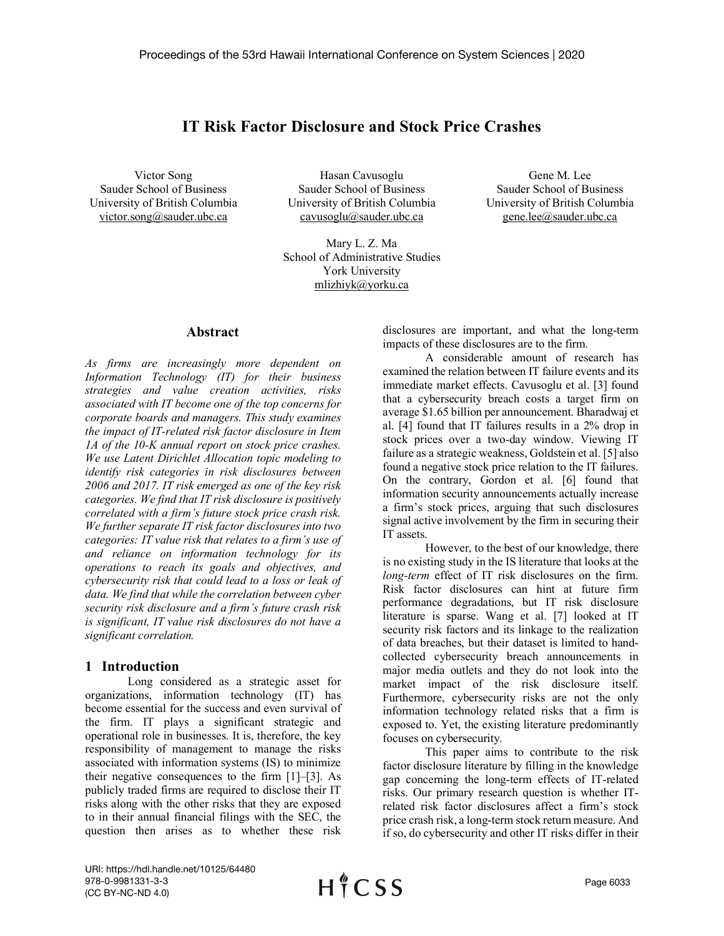# **IT Risk Factor Disclosure and Stock Price Crashes**

Victor Song Sauder School of Business University of British Columbia victor.song@sauder.ubc.ca

Hasan Cavusoglu Sauder School of Business University of British Columbia cavusoglu@sauder.ubc.ca

Mary L. Z. Ma School of Administrative Studies York University mlizhiyk@yorku.ca

#### **Abstract**

*As firms are increasingly more dependent on Information Technology (IT) for their business strategies and value creation activities, risks associated with IT become one of the top concerns for corporate boards and managers. This study examines the impact of IT-related risk factor disclosure in Item 1A of the 10-K annual report on stock price crashes. We use Latent Dirichlet Allocation topic modeling to identify risk categories in risk disclosures between 2006 and 2017. IT risk emerged as one of the key risk categories. We find that IT risk disclosure is positively correlated with a firm's future stock price crash risk. We further separate IT risk factor disclosures into two categories: IT value risk that relates to a firm's use of and reliance on information technology for its operations to reach its goals and objectives, and cybersecurity risk that could lead to a loss or leak of data. We find that while the correlation between cyber security risk disclosure and a firm's future crash risk is significant, IT value risk disclosures do not have a significant correlation.*

# **1 Introduction**

Long considered as a strategic asset for organizations, information technology (IT) has become essential for the success and even survival of the firm. IT plays a significant strategic and operational role in businesses. It is, therefore, the key responsibility of management to manage the risks associated with information systems (IS) to minimize their negative consequences to the firm [1]–[3]. As publicly traded firms are required to disclose their IT risks along with the other risks that they are exposed to in their annual financial filings with the SEC, the question then arises as to whether these risk

disclosures are important, and what the long-term impacts of these disclosures are to the firm.

Gene M. Lee Sauder School of Business University of British Columbia gene.lee@sauder.ubc.ca

A considerable amount of research has examined the relation between IT failure events and its immediate market effects. Cavusoglu et al. [3] found that a cybersecurity breach costs a target firm on average \$1.65 billion per announcement. Bharadwaj et al. [4] found that IT failures results in a 2% drop in stock prices over a two-day window. Viewing IT failure as a strategic weakness, Goldstein et al. [5] also found a negative stock price relation to the IT failures. On the contrary, Gordon et al. [6] found that information security announcements actually increase a firm's stock prices, arguing that such disclosures signal active involvement by the firm in securing their IT assets.

However, to the best of our knowledge, there is no existing study in the IS literature that looks at the *long-term* effect of IT risk disclosures on the firm. Risk factor disclosures can hint at future firm performance degradations, but IT risk disclosure literature is sparse. Wang et al. [7] looked at IT security risk factors and its linkage to the realization of data breaches, but their dataset is limited to handcollected cybersecurity breach announcements in major media outlets and they do not look into the market impact of the risk disclosure itself. Furthermore, cybersecurity risks are not the only information technology related risks that a firm is exposed to. Yet, the existing literature predominantly focuses on cybersecurity.

This paper aims to contribute to the risk factor disclosure literature by filling in the knowledge gap concerning the long-term effects of IT-related risks. Our primary research question is whether ITrelated risk factor disclosures affect a firm's stock price crash risk, a long-term stock return measure. And if so, do cybersecurity and other IT risks differ in their

URI: https://hdl.handle.net/10125/64480 978-0-9981331-3-3 (CC BY-NC-ND 4.0)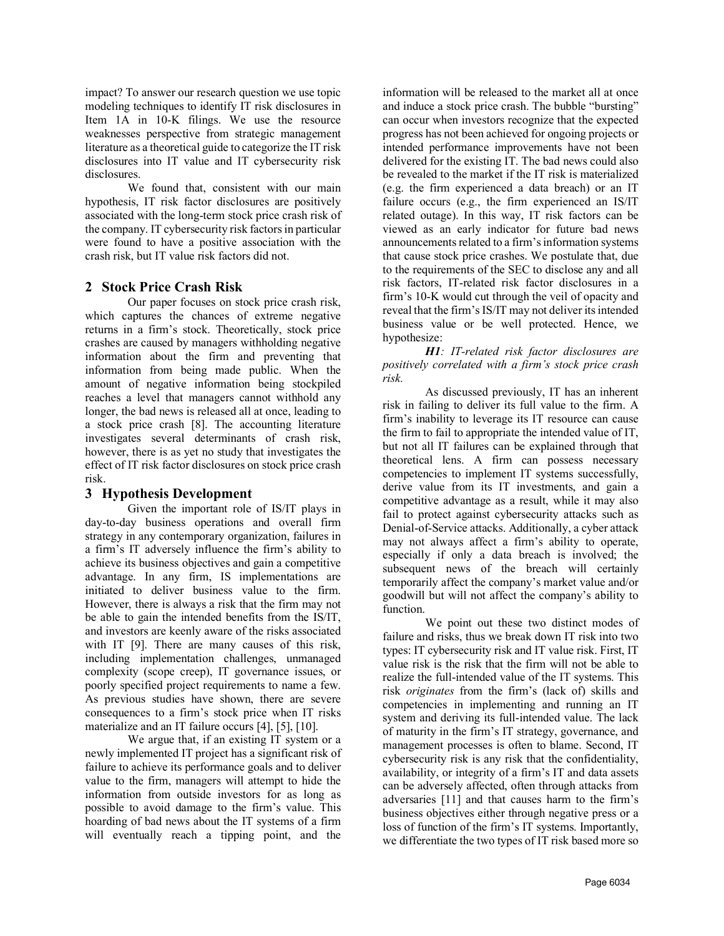impact? To answer our research question we use topic modeling techniques to identify IT risk disclosures in Item 1A in 10-K filings. We use the resource weaknesses perspective from strategic management literature as a theoretical guide to categorize the IT risk disclosures into IT value and IT cybersecurity risk disclosures.

We found that, consistent with our main hypothesis, IT risk factor disclosures are positively associated with the long-term stock price crash risk of the company. IT cybersecurity risk factors in particular were found to have a positive association with the crash risk, but IT value risk factors did not.

# **2 Stock Price Crash Risk**

Our paper focuses on stock price crash risk, which captures the chances of extreme negative returns in a firm's stock. Theoretically, stock price crashes are caused by managers withholding negative information about the firm and preventing that information from being made public. When the amount of negative information being stockpiled reaches a level that managers cannot withhold any longer, the bad news is released all at once, leading to a stock price crash [8]. The accounting literature investigates several determinants of crash risk, however, there is as yet no study that investigates the effect of IT risk factor disclosures on stock price crash risk.

# **3 Hypothesis Development**

Given the important role of IS/IT plays in day-to-day business operations and overall firm strategy in any contemporary organization, failures in a firm's IT adversely influence the firm's ability to achieve its business objectives and gain a competitive advantage. In any firm, IS implementations are initiated to deliver business value to the firm. However, there is always a risk that the firm may not be able to gain the intended benefits from the IS/IT, and investors are keenly aware of the risks associated with IT [9]. There are many causes of this risk, including implementation challenges, unmanaged complexity (scope creep), IT governance issues, or poorly specified project requirements to name a few. As previous studies have shown, there are severe consequences to a firm's stock price when IT risks materialize and an IT failure occurs [4], [5], [10].

We argue that, if an existing IT system or a newly implemented IT project has a significant risk of failure to achieve its performance goals and to deliver value to the firm, managers will attempt to hide the information from outside investors for as long as possible to avoid damage to the firm's value. This hoarding of bad news about the IT systems of a firm will eventually reach a tipping point, and the

information will be released to the market all at once and induce a stock price crash. The bubble "bursting" can occur when investors recognize that the expected progress has not been achieved for ongoing projects or intended performance improvements have not been delivered for the existing IT. The bad news could also be revealed to the market if the IT risk is materialized (e.g. the firm experienced a data breach) or an IT failure occurs (e.g., the firm experienced an IS/IT related outage). In this way, IT risk factors can be viewed as an early indicator for future bad news announcements related to a firm's information systems that cause stock price crashes. We postulate that, due to the requirements of the SEC to disclose any and all risk factors, IT-related risk factor disclosures in a firm's 10-K would cut through the veil of opacity and reveal that the firm's IS/IT may not deliver its intended business value or be well protected. Hence, we hypothesize:

*H1: IT-related risk factor disclosures are positively correlated with a firm's stock price crash risk.*

As discussed previously, IT has an inherent risk in failing to deliver its full value to the firm. A firm's inability to leverage its IT resource can cause the firm to fail to appropriate the intended value of IT, but not all IT failures can be explained through that theoretical lens. A firm can possess necessary competencies to implement IT systems successfully, derive value from its IT investments, and gain a competitive advantage as a result, while it may also fail to protect against cybersecurity attacks such as Denial-of-Service attacks. Additionally, a cyber attack may not always affect a firm's ability to operate, especially if only a data breach is involved; the subsequent news of the breach will certainly temporarily affect the company's market value and/or goodwill but will not affect the company's ability to function.

We point out these two distinct modes of failure and risks, thus we break down IT risk into two types: IT cybersecurity risk and IT value risk. First, IT value risk is the risk that the firm will not be able to realize the full-intended value of the IT systems. This risk *originates* from the firm's (lack of) skills and competencies in implementing and running an IT system and deriving its full-intended value. The lack of maturity in the firm's IT strategy, governance, and management processes is often to blame. Second, IT cybersecurity risk is any risk that the confidentiality, availability, or integrity of a firm's IT and data assets can be adversely affected, often through attacks from adversaries [11] and that causes harm to the firm's business objectives either through negative press or a loss of function of the firm's IT systems. Importantly, we differentiate the two types of IT risk based more so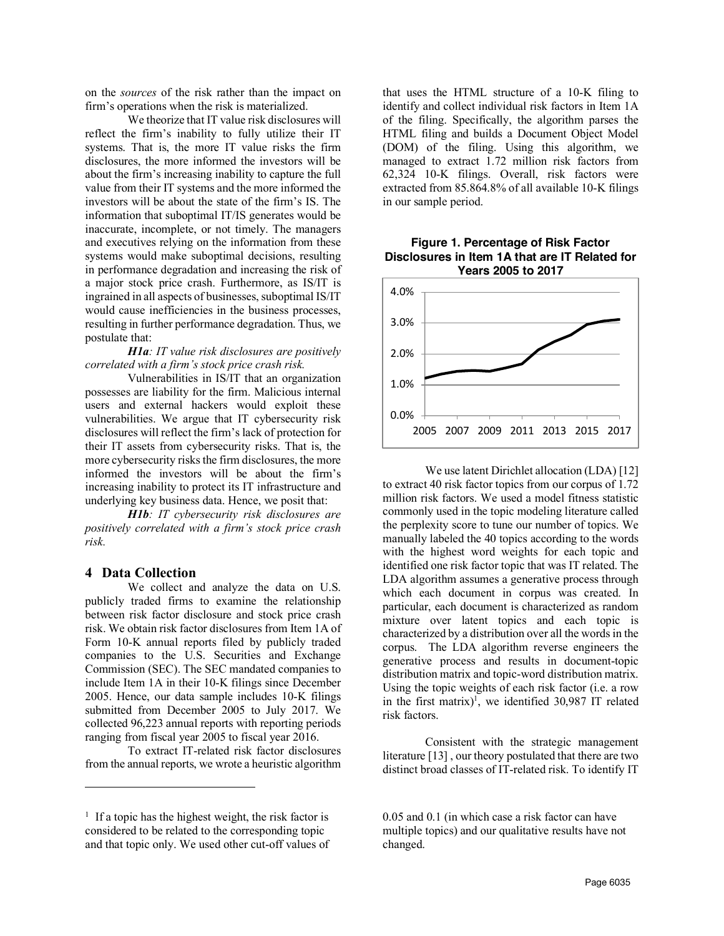on the *sources* of the risk rather than the impact on firm's operations when the risk is materialized.

We theorize that IT value risk disclosures will reflect the firm's inability to fully utilize their IT systems. That is, the more IT value risks the firm disclosures, the more informed the investors will be about the firm's increasing inability to capture the full value from their IT systems and the more informed the investors will be about the state of the firm's IS. The information that suboptimal IT/IS generates would be inaccurate, incomplete, or not timely. The managers and executives relying on the information from these systems would make suboptimal decisions, resulting in performance degradation and increasing the risk of a major stock price crash. Furthermore, as IS/IT is ingrained in all aspects of businesses, suboptimal IS/IT would cause inefficiencies in the business processes, resulting in further performance degradation. Thus, we postulate that:

#### *H1a: IT value risk disclosures are positively correlated with a firm's stock price crash risk.*

Vulnerabilities in IS/IT that an organization possesses are liability for the firm. Malicious internal users and external hackers would exploit these vulnerabilities. We argue that IT cybersecurity risk disclosures will reflect the firm's lack of protection for their IT assets from cybersecurity risks. That is, the more cybersecurity risks the firm disclosures, the more informed the investors will be about the firm's increasing inability to protect its IT infrastructure and underlying key business data. Hence, we posit that:

*H1b: IT cybersecurity risk disclosures are positively correlated with a firm's stock price crash risk.*

# **4 Data Collection**

 $\overline{a}$ 

We collect and analyze the data on U.S. publicly traded firms to examine the relationship between risk factor disclosure and stock price crash risk. We obtain risk factor disclosures from Item 1A of Form 10-K annual reports filed by publicly traded companies to the U.S. Securities and Exchange Commission (SEC). The SEC mandated companies to include Item 1A in their 10-K filings since December 2005. Hence, our data sample includes 10-K filings submitted from December 2005 to July 2017. We collected 96,223 annual reports with reporting periods ranging from fiscal year 2005 to fiscal year 2016.

To extract IT-related risk factor disclosures from the annual reports, we wrote a heuristic algorithm

that uses the HTML structure of a 10-K filing to identify and collect individual risk factors in Item 1A of the filing. Specifically, the algorithm parses the HTML filing and builds a Document Object Model (DOM) of the filing. Using this algorithm, we managed to extract 1.72 million risk factors from 62,324 10-K filings. Overall, risk factors were extracted from 85.864.8% of all available 10-K filings in our sample period.

#### **Figure 1. Percentage of Risk Factor Disclosures in Item 1A that are IT Related for Years 2005 to 2017**



We use latent Dirichlet allocation (LDA) [12] to extract 40 risk factor topics from our corpus of 1.72 million risk factors. We used a model fitness statistic commonly used in the topic modeling literature called the perplexity score to tune our number of topics. We manually labeled the 40 topics according to the words with the highest word weights for each topic and identified one risk factor topic that was IT related. The LDA algorithm assumes a generative process through which each document in corpus was created. In particular, each document is characterized as random mixture over latent topics and each topic is characterized by a distribution over all the words in the corpus. The LDA algorithm reverse engineers the generative process and results in document-topic distribution matrix and topic-word distribution matrix. Using the topic weights of each risk factor (i.e. a row in the first matrix)<sup>1</sup>, we identified 30,987 IT related risk factors.

Consistent with the strategic management literature [13] , our theory postulated that there are two distinct broad classes of IT-related risk. To identify IT

<sup>&</sup>lt;sup>1</sup> If a topic has the highest weight, the risk factor is considered to be related to the corresponding topic and that topic only. We used other cut-off values of

<sup>0.05</sup> and 0.1 (in which case a risk factor can have multiple topics) and our qualitative results have not changed.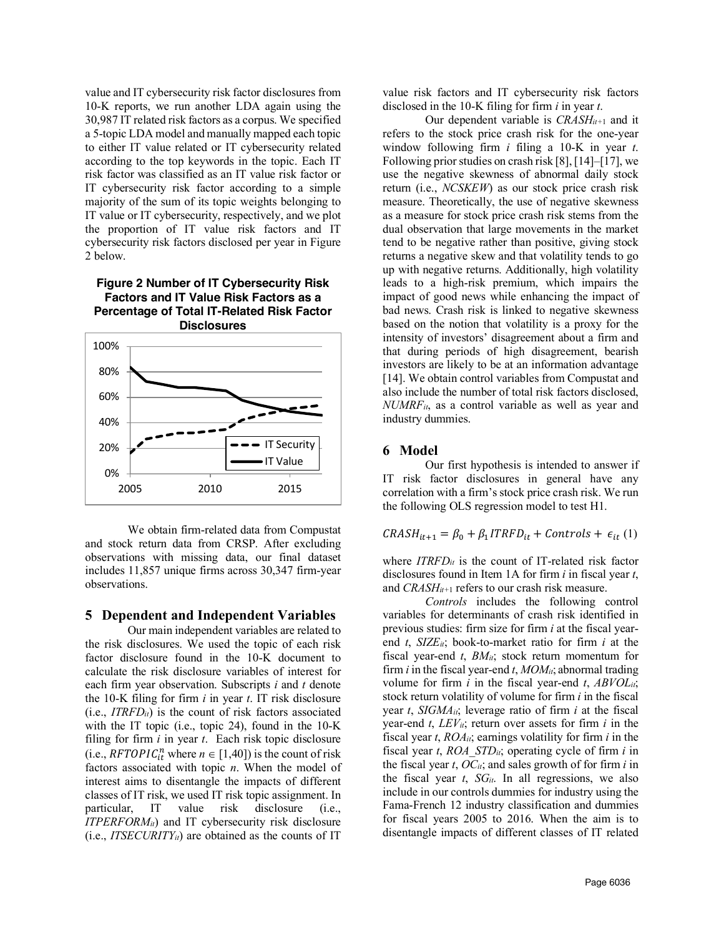value and IT cybersecurity risk factor disclosures from 10-K reports, we run another LDA again using the 30,987 IT related risk factors as a corpus. We specified a 5-topic LDA model and manually mapped each topic to either IT value related or IT cybersecurity related according to the top keywords in the topic. Each IT risk factor was classified as an IT value risk factor or IT cybersecurity risk factor according to a simple majority of the sum of its topic weights belonging to IT value or IT cybersecurity, respectively, and we plot the proportion of IT value risk factors and IT cybersecurity risk factors disclosed per year in Figure 2 below.

**Figure 2 Number of IT Cybersecurity Risk Factors and IT Value Risk Factors as a Percentage of Total IT-Related Risk Factor Disclosures**



We obtain firm-related data from Compustat and stock return data from CRSP. After excluding observations with missing data, our final dataset includes 11,857 unique firms across 30,347 firm-year observations.

#### **5 Dependent and Independent Variables**

Our main independent variables are related to the risk disclosures. We used the topic of each risk factor disclosure found in the 10-K document to calculate the risk disclosure variables of interest for each firm year observation. Subscripts *i* and *t* denote the 10-K filing for firm *i* in year *t*. IT risk disclosure (i.e., *ITRFDit*) is the count of risk factors associated with the IT topic (i.e., topic 24), found in the 10-K filing for firm *i* in year *t*. Each risk topic disclosure (i.e.,  $RFTOPIC_{it}^{n}$  where  $n \in [1,40]$ ) is the count of risk factors associated with topic *n*. When the model of interest aims to disentangle the impacts of different classes of IT risk, we used IT risk topic assignment. In particular, IT value risk disclosure (i.e., *ITPERFORM<sub>it</sub>*) and IT cybersecurity risk disclosure  $(i.e., \textit{ITSECURITY}_{it})$  are obtained as the counts of IT

value risk factors and IT cybersecurity risk factors disclosed in the 10-K filing for firm *i* in year *t*.

Our dependent variable is *CRASHit+*<sup>1</sup> and it refers to the stock price crash risk for the one-year window following firm *i* filing a 10-K in year *t*. Following prior studies on crash risk [8], [14]–[17], we use the negative skewness of abnormal daily stock return (i.e., *NCSKEW*) as our stock price crash risk measure. Theoretically, the use of negative skewness as a measure for stock price crash risk stems from the dual observation that large movements in the market tend to be negative rather than positive, giving stock returns a negative skew and that volatility tends to go up with negative returns. Additionally, high volatility leads to a high-risk premium, which impairs the impact of good news while enhancing the impact of bad news. Crash risk is linked to negative skewness based on the notion that volatility is a proxy for the intensity of investors' disagreement about a firm and that during periods of high disagreement, bearish investors are likely to be at an information advantage [14]. We obtain control variables from Compustat and also include the number of total risk factors disclosed, *NUMRFit*, as a control variable as well as year and industry dummies.

# **6 Model**

Our first hypothesis is intended to answer if IT risk factor disclosures in general have any correlation with a firm's stock price crash risk. We run the following OLS regression model to test H1.

$$
CRASH_{it+1} = \beta_0 + \beta_1 ITRFD_{it} + \text{Controls} + \epsilon_{it} (1)
$$

where  $ITRFD_{it}$  is the count of IT-related risk factor disclosures found in Item 1A for firm *i* in fiscal year *t*, and *CRASHit+*<sup>1</sup> refers to our crash risk measure.

*Controls* includes the following control variables for determinants of crash risk identified in previous studies: firm size for firm *i* at the fiscal yearend *t*, *SIZEit*; book-to-market ratio for firm *i* at the fiscal year-end *t*, *BMit*; stock return momentum for firm *i* in the fiscal year-end *t*, *MOMit*; abnormal trading volume for firm *i* in the fiscal year-end *t*, *ABVOLit*; stock return volatility of volume for firm *i* in the fiscal year *t*, *SIGMAit*; leverage ratio of firm *i* at the fiscal year-end  $t$ ,  $LEV_{it}$ ; return over assets for firm  $i$  in the fiscal year *t*, *ROAit*; earnings volatility for firm *i* in the fiscal year *t*, *ROA\_STDit*; operating cycle of firm *i* in the fiscal year *t*, *OCit*; and sales growth of for firm *i* in the fiscal year  $t$ ,  $SG_{it}$ . In all regressions, we also include in our controls dummies for industry using the Fama-French 12 industry classification and dummies for fiscal years 2005 to 2016. When the aim is to disentangle impacts of different classes of IT related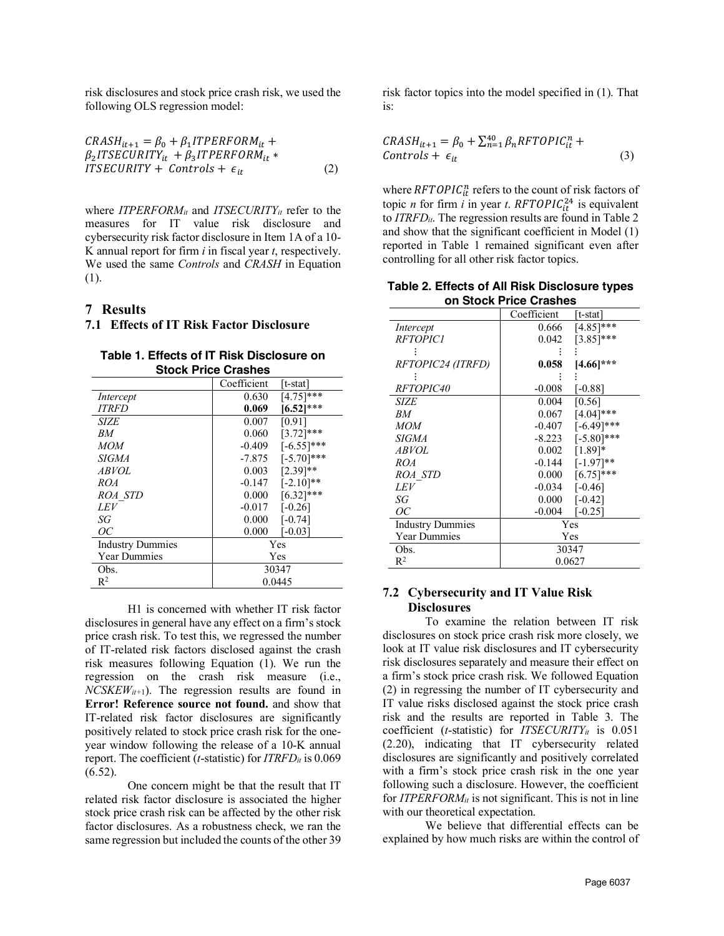risk disclosures and stock price crash risk, we used the following OLS regression model:

$$
CRASH_{it+1} = \beta_0 + \beta_1 I TPERFORM_{it} +
$$
  
\n
$$
\beta_2 I T SECURITY_{it} + \beta_3 I T PERFORM_{it} *
$$
  
\n
$$
ITSECURITY + Controls + \epsilon_{it}
$$
 (2)

where *ITPERFORM<sub>it</sub>* and *ITSECURITY<sub>it</sub>* refer to the measures for IT value risk disclosure and cybersecurity risk factor disclosure in Item 1A of a 10- K annual report for firm *i* in fiscal year *t*, respectively. We used the same *Controls* and *CRASH* in Equation (1).

#### **7 Results**

# **7.1 Effects of IT Risk Factor Disclosure**

| Table 1. Effects of IT Risk Disclosure on |
|-------------------------------------------|
| <b>Stock Price Crashes</b>                |

|                         | Coefficient | [t-stat]      |
|-------------------------|-------------|---------------|
| Intercept               | 0.630       | $[4.75]$ ***  |
| <b>ITRFD</b>            | 0.069       | $[6.52]$ ***  |
| <b>SIZE</b>             | 0.007       | [0.91]        |
| RM                      | 0.060       | $[3.72]$ ***  |
| <b>MOM</b>              | $-0.409$    | $[-6.55]$ *** |
| <b>SIGMA</b>            | $-7.875$    | $[-5.70]$ *** |
| <b>ABVOL</b>            | 0.003       | $[2.39]$ **   |
| ROA                     | $-0.147$    | $[-2.10]$ **  |
| ROA STD                 | 0.000       | $[6.32]$ ***  |
| LEV                     | $-0.017$    | $[-0.26]$     |
| SG                      | 0.000       | $[-0.74]$     |
| ОC                      | 0.000       | $[-0.03]$     |
| <b>Industry Dummies</b> | Yes         |               |
| <b>Year Dummies</b>     | Yes         |               |
| Obs.                    | 30347       |               |
| $R^2$                   | 0.0445      |               |

H1 is concerned with whether IT risk factor disclosures in general have any effect on a firm's stock price crash risk. To test this, we regressed the number of IT-related risk factors disclosed against the crash risk measures following Equation (1). We run the regression on the crash risk measure (i.e.,  $NCSKEW_{it+1}$ ). The regression results are found in **Error! Reference source not found.** and show that IT-related risk factor disclosures are significantly positively related to stock price crash risk for the oneyear window following the release of a 10-K annual report. The coefficient (*t*-statistic) for *ITRFDit* is 0.069 (6.52).

One concern might be that the result that IT related risk factor disclosure is associated the higher stock price crash risk can be affected by the other risk factor disclosures. As a robustness check, we ran the same regression but included the counts of the other 39 risk factor topics into the model specified in (1). That is:

$$
CRASH_{it+1} = \beta_0 + \sum_{n=1}^{40} \beta_n RFTOPIC_{it}^n +
$$
  
Controls +  $\epsilon_{it}$  (3)

where  $RFTOPIC_{it}^{n}$  refers to the count of risk factors of topic *n* for firm *i* in year *t*.  $RFTOPIC^{24}_{it}$  is equivalent to *ITRFDit*. The regression results are found in Table 2 and show that the significant coefficient in Model (1) reported in Table 1 remained significant even after controlling for all other risk factor topics.

**Table 2. Effects of All Risk Disclosure types on Stock Price Crashes**

|                         | Coefficient | [t-stat]      |  |
|-------------------------|-------------|---------------|--|
| Intercept               | 0.666       | $[4.85]$ ***  |  |
| <b>RFTOPICI</b>         | 0.042       | $[3.85]$ ***  |  |
|                         |             |               |  |
| RFTOPIC24 (ITRFD)       | 0.058       | $[4.66]$ ***  |  |
|                         |             |               |  |
| <i>RFTOPIC40</i>        | $-0.008$    | $[-0.88]$     |  |
| SIZE                    | 0.004       | [0.56]        |  |
| BМ                      | 0.067       | $[4.04]$ ***  |  |
| MOM                     | $-0.407$    | $[-6.49]$ *** |  |
| <i>SIGMA</i>            | $-8.223$    | $[-5.80]$ *** |  |
| <i>ABVOL</i>            | 0.002       | $[1.89]*$     |  |
| ROA                     | $-0.144$    | $[-1.97]**$   |  |
| <i>ROA STD</i>          | $0.000\,$   | $[6.75]$ ***  |  |
| LEV                     | $-0.034$    | $[-0.46]$     |  |
| SG                      | 0.000       | $[-0.42]$     |  |
| ОC                      | $-0.004$    | $-0.25$ ]     |  |
| <b>Industry Dummies</b> | Yes         |               |  |
| <b>Year Dummies</b>     | Yes         |               |  |
| Obs.                    | 30347       |               |  |
| $R^2$                   | 0.0627      |               |  |

# **7.2 Cybersecurity and IT Value Risk Disclosures**

To examine the relation between IT risk disclosures on stock price crash risk more closely, we look at IT value risk disclosures and IT cybersecurity risk disclosures separately and measure their effect on a firm's stock price crash risk. We followed Equation (2) in regressing the number of IT cybersecurity and IT value risks disclosed against the stock price crash risk and the results are reported in Table 3. The coefficient ( $t$ -statistic) for *ITSECURITY<sub>it</sub>* is  $0.051$ (2.20), indicating that IT cybersecurity related disclosures are significantly and positively correlated with a firm's stock price crash risk in the one year following such a disclosure. However, the coefficient for *ITPERFORMit* is not significant. This is not in line with our theoretical expectation.

We believe that differential effects can be explained by how much risks are within the control of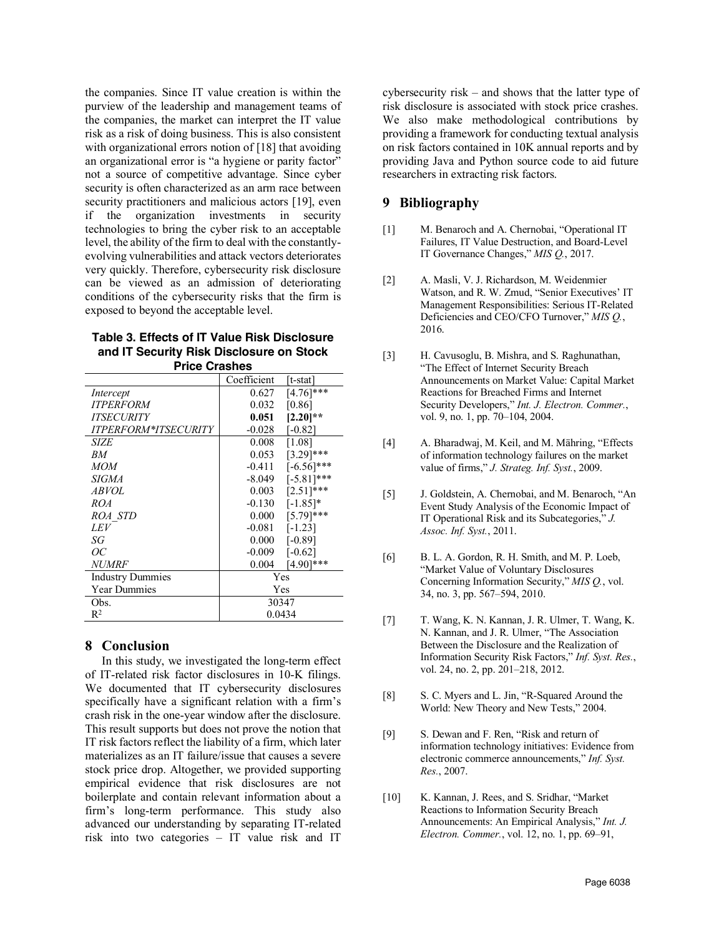the companies. Since IT value creation is within the purview of the leadership and management teams of the companies, the market can interpret the IT value risk as a risk of doing business. This is also consistent with organizational errors notion of [18] that avoiding an organizational error is "a hygiene or parity factor" not a source of competitive advantage. Since cyber security is often characterized as an arm race between security practitioners and malicious actors [19], even if the organization investments in security technologies to bring the cyber risk to an acceptable level, the ability of the firm to deal with the constantlyevolving vulnerabilities and attack vectors deteriorates very quickly. Therefore, cybersecurity risk disclosure can be viewed as an admission of deteriorating conditions of the cybersecurity risks that the firm is exposed to beyond the acceptable level.

| Table 3. Effects of IT Value Risk Disclosure |
|----------------------------------------------|
| and IT Security Risk Disclosure on Stock     |
| <b>Price Crashes</b>                         |

|                             | Coefficient | t-stat                |
|-----------------------------|-------------|-----------------------|
|                             | 0.627       | $[4.76]$ ***          |
| Intercept                   |             |                       |
| <b>ITPERFORM</b>            | 0.032       | [0.86]                |
| <b>ITSECURITY</b>           | 0.051       | $[2.20]**$            |
| <b>ITPERFORM*ITSECURITY</b> | $-0.028$    | $[-0.82]$             |
| SIZE                        | 0.008       | [1.08]                |
| RM                          | 0.053       | $[3.29]$ ***          |
| <b>MOM</b>                  | $-0.411$    | $[-6.56]$ ***         |
| <b>SIGMA</b>                | $-8.049$    | $[-5.81]$ ***         |
| <i>ABVOL</i>                | 0.003       | $[2.51]$ ***          |
| ROA                         | $-0.130$    | $[-1.85]*$            |
| <i>ROA STD</i>              | 0.000       | $[5.79]$ ***          |
| LEV                         | $-0.081$    | $[-1.23]$             |
| SG                          | 0.000       | [-0.89]               |
| ОC                          | $-0.009$    | $[-0.62]$             |
| <b>NUMRF</b>                | 0.004       | $4.90$ <sup>***</sup> |
| <b>Industry Dummies</b>     | Yes         |                       |
| <b>Year Dummies</b>         | Yes         |                       |
| Obs.                        | 30347       |                       |
| $R^2$                       | 0.0434      |                       |

# **8 Conclusion**

In this study, we investigated the long-term effect of IT-related risk factor disclosures in 10-K filings. We documented that IT cybersecurity disclosures specifically have a significant relation with a firm's crash risk in the one-year window after the disclosure. This result supports but does not prove the notion that IT risk factors reflect the liability of a firm, which later materializes as an IT failure/issue that causes a severe stock price drop. Altogether, we provided supporting empirical evidence that risk disclosures are not boilerplate and contain relevant information about a firm's long-term performance. This study also advanced our understanding by separating IT-related risk into two categories – IT value risk and IT

cybersecurity risk – and shows that the latter type of risk disclosure is associated with stock price crashes. We also make methodological contributions by providing a framework for conducting textual analysis on risk factors contained in 10K annual reports and by providing Java and Python source code to aid future researchers in extracting risk factors.

# **9 Bibliography**

- [1] M. Benaroch and A. Chernobai, "Operational IT Failures, IT Value Destruction, and Board-Level IT Governance Changes," *MIS Q.*, 2017.
- [2] A. Masli, V. J. Richardson, M. Weidenmier Watson, and R. W. Zmud, "Senior Executives' IT Management Responsibilities: Serious IT-Related Deficiencies and CEO/CFO Turnover," *MIS Q.*, 2016.
- [3] H. Cavusoglu, B. Mishra, and S. Raghunathan, "The Effect of Internet Security Breach Announcements on Market Value: Capital Market Reactions for Breached Firms and Internet Security Developers," *Int. J. Electron. Commer.*, vol. 9, no. 1, pp. 70–104, 2004.
- [4] A. Bharadwaj, M. Keil, and M. Mähring, "Effects of information technology failures on the market value of firms," *J. Strateg. Inf. Syst.*, 2009.
- [5] J. Goldstein, A. Chernobai, and M. Benaroch, "An Event Study Analysis of the Economic Impact of IT Operational Risk and its Subcategories," *J. Assoc. Inf. Syst.*, 2011.
- [6] B. L. A. Gordon, R. H. Smith, and M. P. Loeb, "Market Value of Voluntary Disclosures Concerning Information Security," *MIS Q.*, vol. 34, no. 3, pp. 567–594, 2010.
- [7] T. Wang, K. N. Kannan, J. R. Ulmer, T. Wang, K. N. Kannan, and J. R. Ulmer, "The Association Between the Disclosure and the Realization of Information Security Risk Factors," *Inf. Syst. Res.*, vol. 24, no. 2, pp. 201–218, 2012.
- [8] S. C. Myers and L. Jin, "R-Squared Around the World: New Theory and New Tests," 2004.
- [9] S. Dewan and F. Ren, "Risk and return of information technology initiatives: Evidence from electronic commerce announcements," *Inf. Syst. Res.*, 2007.
- [10] K. Kannan, J. Rees, and S. Sridhar, "Market" Reactions to Information Security Breach Announcements: An Empirical Analysis," *Int. J. Electron. Commer.*, vol. 12, no. 1, pp. 69–91,